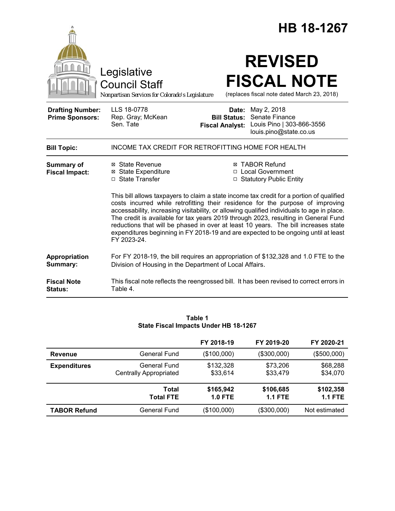|                                                   |                                                                                                                                                                                                                                                                                                                                                                                                                                                                                                                                                                                                                                                                                                            | HB 18-1267                                                                                                                                         |  |  |
|---------------------------------------------------|------------------------------------------------------------------------------------------------------------------------------------------------------------------------------------------------------------------------------------------------------------------------------------------------------------------------------------------------------------------------------------------------------------------------------------------------------------------------------------------------------------------------------------------------------------------------------------------------------------------------------------------------------------------------------------------------------------|----------------------------------------------------------------------------------------------------------------------------------------------------|--|--|
|                                                   | Legislative<br><b>Council Staff</b><br>Nonpartisan Services for Colorado's Legislature                                                                                                                                                                                                                                                                                                                                                                                                                                                                                                                                                                                                                     | <b>REVISED</b><br><b>FISCAL NOTE</b><br>(replaces fiscal note dated March 23, 2018)                                                                |  |  |
| <b>Drafting Number:</b><br><b>Prime Sponsors:</b> | LLS 18-0778<br>Rep. Gray; McKean<br>Sen. Tate                                                                                                                                                                                                                                                                                                                                                                                                                                                                                                                                                                                                                                                              | <b>Date:</b> May 2, 2018<br>Senate Finance<br><b>Bill Status:</b><br>Louis Pino   303-866-3556<br><b>Fiscal Analyst:</b><br>louis.pino@state.co.us |  |  |
| <b>Bill Topic:</b>                                | INCOME TAX CREDIT FOR RETROFITTING HOME FOR HEALTH                                                                                                                                                                                                                                                                                                                                                                                                                                                                                                                                                                                                                                                         |                                                                                                                                                    |  |  |
| <b>Summary of</b><br><b>Fiscal Impact:</b>        | ⊠ State Revenue<br><b>⊠ TABOR Refund</b><br><b>⊠</b> State Expenditure<br>□ Local Government<br>□ State Transfer<br>□ Statutory Public Entity<br>This bill allows taxpayers to claim a state income tax credit for a portion of qualified<br>costs incurred while retrofitting their residence for the purpose of improving<br>accessability, increasing visitability, or allowing qualified individuals to age in place.<br>The credit is available for tax years 2019 through 2023, resulting in General Fund<br>reductions that will be phased in over at least 10 years. The bill increases state<br>expenditures beginning in FY 2018-19 and are expected to be ongoing until at least<br>FY 2023-24. |                                                                                                                                                    |  |  |
| Appropriation<br>Summary:                         | For FY 2018-19, the bill requires an appropriation of \$132,328 and 1.0 FTE to the<br>Division of Housing in the Department of Local Affairs.                                                                                                                                                                                                                                                                                                                                                                                                                                                                                                                                                              |                                                                                                                                                    |  |  |
| <b>Fiscal Note</b><br><b>Status:</b>              | This fiscal note reflects the reengrossed bill. It has been revised to correct errors in<br>Table 4.                                                                                                                                                                                                                                                                                                                                                                                                                                                                                                                                                                                                       |                                                                                                                                                    |  |  |

| Table 1 |                                       |  |  |
|---------|---------------------------------------|--|--|
|         | State Fiscal Impacts Under HB 18-1267 |  |  |

|                     |                                               | FY 2018-19             | FY 2019-20                  | FY 2020-21                  |
|---------------------|-----------------------------------------------|------------------------|-----------------------------|-----------------------------|
| <b>Revenue</b>      | General Fund                                  | (\$100,000)            | (\$300,000)                 | (\$500,000)                 |
| <b>Expenditures</b> | General Fund<br><b>Centrally Appropriated</b> | \$132,328<br>\$33,614  | \$73,206<br>\$33,479        | \$68,288<br>\$34,070        |
|                     | Total<br><b>Total FTE</b>                     | \$165,942<br>$1.0$ FTE | \$106,685<br><b>1.1 FTE</b> | \$102,358<br><b>1.1 FTE</b> |
| <b>TABOR Refund</b> | General Fund                                  | (\$100,000)            | (\$300,000)                 | Not estimated               |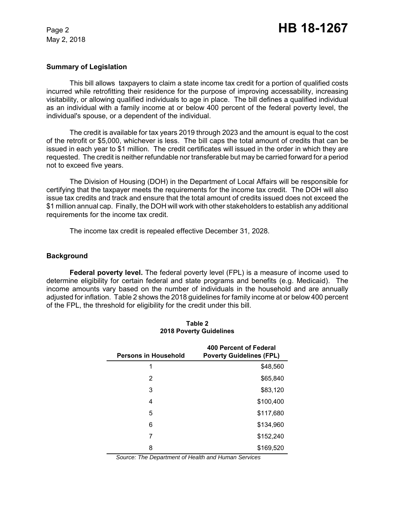#### **Summary of Legislation**

This bill allows taxpayers to claim a state income tax credit for a portion of qualified costs incurred while retrofitting their residence for the purpose of improving accessability, increasing visitability, or allowing qualified individuals to age in place. The bill defines a qualified individual as an individual with a family income at or below 400 percent of the federal poverty level, the individual's spouse, or a dependent of the individual.

The credit is available for tax years 2019 through 2023 and the amount is equal to the cost of the retrofit or \$5,000, whichever is less. The bill caps the total amount of credits that can be issued in each year to \$1 million. The credit certificates will issued in the order in which they are requested. The credit is neither refundable nor transferable but may be carried forward for a period not to exceed five years.

The Division of Housing (DOH) in the Department of Local Affairs will be responsible for certifying that the taxpayer meets the requirements for the income tax credit. The DOH will also issue tax credits and track and ensure that the total amount of credits issued does not exceed the \$1 million annual cap. Finally, the DOH will work with other stakeholders to establish any additional requirements for the income tax credit.

The income tax credit is repealed effective December 31, 2028.

#### **Background**

**Federal poverty level.** The federal poverty level (FPL) is a measure of income used to determine eligibility for certain federal and state programs and benefits (e.g. Medicaid). The income amounts vary based on the number of individuals in the household and are annually adjusted for inflation. Table 2 shows the 2018 guidelines for family income at or below 400 percent of the FPL, the threshold for eligibility for the credit under this bill.

| <b>Persons in Household</b> | 400 Percent of Federal<br><b>Poverty Guidelines (FPL)</b> |
|-----------------------------|-----------------------------------------------------------|
| 1                           | \$48,560                                                  |
| 2                           | \$65,840                                                  |
| 3                           | \$83,120                                                  |
| 4                           | \$100,400                                                 |
| 5                           | \$117,680                                                 |
| 6                           | \$134,960                                                 |
| 7                           | \$152,240                                                 |
| 8                           | \$169,520                                                 |

#### **Table 2 2018 Poverty Guidelines**

*Source: The Department of Health and Human Services*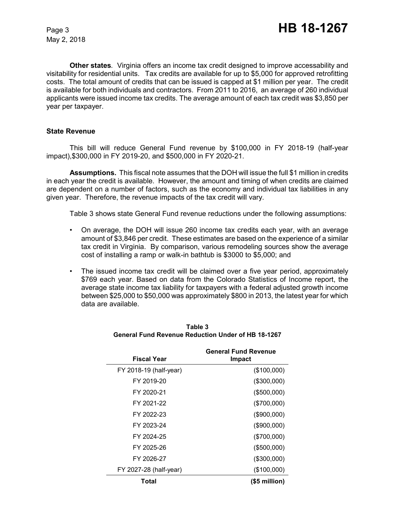**Other states***.* Virginia offers an income tax credit designed to improve accessability and visitability for residential units. Tax credits are available for up to \$5,000 for approved retrofitting costs. The total amount of credits that can be issued is capped at \$1 million per year. The credit is available for both individuals and contractors. From 2011 to 2016, an average of 260 individual applicants were issued income tax credits. The average amount of each tax credit was \$3,850 per year per taxpayer.

## **State Revenue**

This bill will reduce General Fund revenue by \$100,000 in FY 2018-19 (half-year impact),\$300,000 in FY 2019-20, and \$500,000 in FY 2020-21.

**Assumptions.** This fiscal note assumes that the DOH will issue the full \$1 million in credits in each year the credit is available. However, the amount and timing of when credits are claimed are dependent on a number of factors, such as the economy and individual tax liabilities in any given year. Therefore, the revenue impacts of the tax credit will vary.

Table 3 shows state General Fund revenue reductions under the following assumptions:

- On average, the DOH will issue 260 income tax credits each year, with an average amount of \$3,846 per credit. These estimates are based on the experience of a similar tax credit in Virginia. By comparison, various remodeling sources show the average cost of installing a ramp or walk-in bathtub is \$3000 to \$5,000; and
- The issued income tax credit will be claimed over a five year period, approximately \$769 each year. Based on data from the Colorado Statistics of Income report, the average state income tax liability for taxpayers with a federal adjusted growth income between \$25,000 to \$50,000 was approximately \$800 in 2013, the latest year for which data are available.

| <b>Fiscal Year</b>     | <b>General Fund Revenue</b><br>Impact |
|------------------------|---------------------------------------|
| FY 2018-19 (half-year) | (\$100,000)                           |
| FY 2019-20             | (\$300,000)                           |
| FY 2020-21             | (\$500,000)                           |
| FY 2021-22             | (\$700,000)                           |
| FY 2022-23             | (\$900,000)                           |
| FY 2023-24             | (\$900,000)                           |
| FY 2024-25             | (\$700,000)                           |
| FY 2025-26             | (\$500,000)                           |
| FY 2026-27             | (\$300,000)                           |
| FY 2027-28 (half-year) | (\$100,000)                           |
| Total                  | $($5$ million $)$                     |

## **Table 3 General Fund Revenue Reduction Under of HB 18-1267**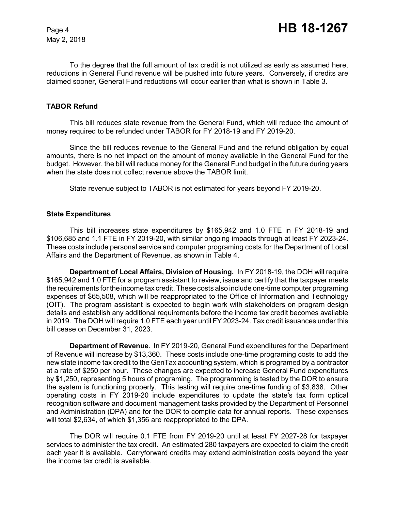To the degree that the full amount of tax credit is not utilized as early as assumed here, reductions in General Fund revenue will be pushed into future years. Conversely, if credits are claimed sooner, General Fund reductions will occur earlier than what is shown in Table 3.

## **TABOR Refund**

This bill reduces state revenue from the General Fund, which will reduce the amount of money required to be refunded under TABOR for FY 2018-19 and FY 2019-20.

Since the bill reduces revenue to the General Fund and the refund obligation by equal amounts, there is no net impact on the amount of money available in the General Fund for the budget. However, the bill will reduce money for the General Fund budget in the future during years when the state does not collect revenue above the TABOR limit.

State revenue subject to TABOR is not estimated for years beyond FY 2019-20.

## **State Expenditures**

This bill increases state expenditures by \$165,942 and 1.0 FTE in FY 2018-19 and \$106,685 and 1.1 FTE in FY 2019-20, with similar ongoing impacts through at least FY 2023-24. These costs include personal service and computer programing costs for the Department of Local Affairs and the Department of Revenue, as shown in Table 4.

**Department of Local Affairs, Division of Housing.** In FY 2018-19, the DOH will require \$165,942 and 1.0 FTE for a program assistant to review, issue and certify that the taxpayer meets the requirements for the income tax credit. These costs also include one-time computer programing expenses of \$65,508, which will be reappropriated to the Office of Information and Technology (OIT). The program assistant is expected to begin work with stakeholders on program design details and establish any additional requirements before the income tax credit becomes available in 2019. The DOH will require 1.0 FTE each year until FY 2023-24. Tax credit issuances under this bill cease on December 31, 2023.

**Department of Revenue**. In FY 2019-20, General Fund expenditures for the Department of Revenue will increase by \$13,360. These costs include one-time programing costs to add the new state income tax credit to the GenTax accounting system, which is programed by a contractor at a rate of \$250 per hour. These changes are expected to increase General Fund expenditures by \$1,250, representing 5 hours of programing. The programming is tested by the DOR to ensure the system is functioning properly. This testing will require one-time funding of \$3,838. Other operating costs in FY 2019-20 include expenditures to update the state's tax form optical recognition software and document management tasks provided by the Department of Personnel and Administration (DPA) and for the DOR to compile data for annual reports. These expenses will total \$2,634, of which \$1,356 are reappropriated to the DPA.

The DOR will require 0.1 FTE from FY 2019-20 until at least FY 2027-28 for taxpayer services to administer the tax credit. An estimated 280 taxpayers are expected to claim the credit each year it is available. Carryforward credits may extend administration costs beyond the year the income tax credit is available.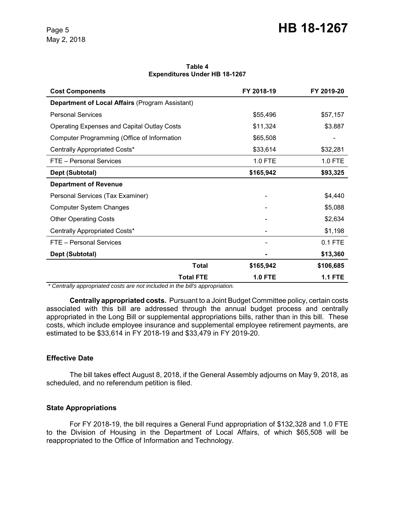| Table 4 |                                      |  |  |  |  |
|---------|--------------------------------------|--|--|--|--|
|         | <b>Expenditures Under HB 18-1267</b> |  |  |  |  |

| <b>Cost Components</b>                                 |                  | FY 2018-19     | FY 2019-20     |
|--------------------------------------------------------|------------------|----------------|----------------|
| <b>Department of Local Affairs (Program Assistant)</b> |                  |                |                |
| <b>Personal Services</b>                               |                  | \$55,496       | \$57,157       |
| <b>Operating Expenses and Capital Outlay Costs</b>     |                  | \$11,324       | \$3.887        |
| Computer Programming (Office of Information            |                  | \$65,508       |                |
| Centrally Appropriated Costs*                          |                  | \$33,614       | \$32,281       |
| FTE - Personal Services                                |                  | 1.0 FTE        | 1.0 FTE        |
| Dept (Subtotal)                                        |                  | \$165,942      | \$93,325       |
| <b>Department of Revenue</b>                           |                  |                |                |
| Personal Services (Tax Examiner)                       |                  |                | \$4,440        |
| <b>Computer System Changes</b>                         |                  |                | \$5,088        |
| <b>Other Operating Costs</b>                           |                  |                | \$2,634        |
| Centrally Appropriated Costs*                          |                  |                | \$1,198        |
| FTE - Personal Services                                |                  |                | 0.1 FTE        |
| Dept (Subtotal)                                        |                  |                | \$13,360       |
|                                                        | <b>Total</b>     | \$165,942      | \$106,685      |
|                                                        | <b>Total FTE</b> | <b>1.0 FTE</b> | <b>1.1 FTE</b> |

 *\* Centrally appropriated costs are not included in the bill's appropriation.*

**Centrally appropriated costs.** Pursuant to a Joint Budget Committee policy, certain costs associated with this bill are addressed through the annual budget process and centrally appropriated in the Long Bill or supplemental appropriations bills, rather than in this bill. These costs, which include employee insurance and supplemental employee retirement payments, are estimated to be \$33,614 in FY 2018-19 and \$33,479 in FY 2019-20.

## **Effective Date**

The bill takes effect August 8, 2018, if the General Assembly adjourns on May 9, 2018, as scheduled, and no referendum petition is filed.

## **State Appropriations**

For FY 2018-19, the bill requires a General Fund appropriation of \$132,328 and 1.0 FTE to the Division of Housing in the Department of Local Affairs, of which \$65,508 will be reappropriated to the Office of Information and Technology.